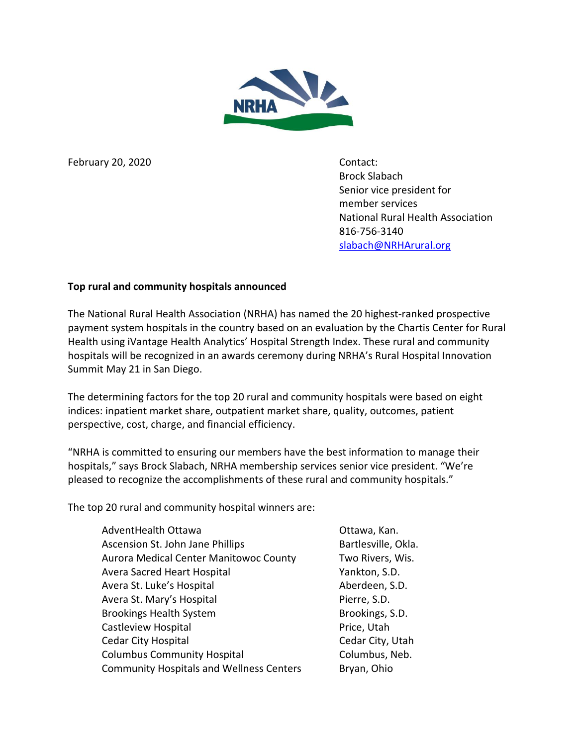

February 20, 2020 Contact:

Brock Slabach Senior vice president for member services National Rural Health Association 816-756-3140 [slabach@NRHArural.org](mailto:slabach@NRHArural.org)

## **Top rural and community hospitals announced**

The National Rural Health Association (NRHA) has named the 20 highest-ranked prospective payment system hospitals in the country based on an evaluation by the Chartis Center for Rural Health using iVantage Health Analytics' Hospital Strength Index. These rural and community hospitals will be recognized in an awards ceremony during NRHA's Rural Hospital Innovation Summit May 21 in San Diego.

The determining factors for the top 20 rural and community hospitals were based on eight indices: inpatient market share, outpatient market share, quality, outcomes, patient perspective, cost, charge, and financial efficiency.

"NRHA is committed to ensuring our members have the best information to manage their hospitals," says Brock Slabach, NRHA membership services senior vice president. "We're pleased to recognize the accomplishments of these rural and community hospitals."

The top 20 rural and community hospital winners are:

| AdventHealth Ottawa                             | Ottawa, Kan.        |
|-------------------------------------------------|---------------------|
| Ascension St. John Jane Phillips                | Bartlesville, Okla. |
| <b>Aurora Medical Center Manitowoc County</b>   | Two Rivers, Wis.    |
| <b>Avera Sacred Heart Hospital</b>              | Yankton, S.D.       |
| Avera St. Luke's Hospital                       | Aberdeen, S.D.      |
| Avera St. Mary's Hospital                       | Pierre, S.D.        |
| <b>Brookings Health System</b>                  | Brookings, S.D.     |
| Castleview Hospital                             | Price, Utah         |
| <b>Cedar City Hospital</b>                      | Cedar City, Utah    |
| <b>Columbus Community Hospital</b>              | Columbus, Neb.      |
| <b>Community Hospitals and Wellness Centers</b> | Bryan, Ohio         |